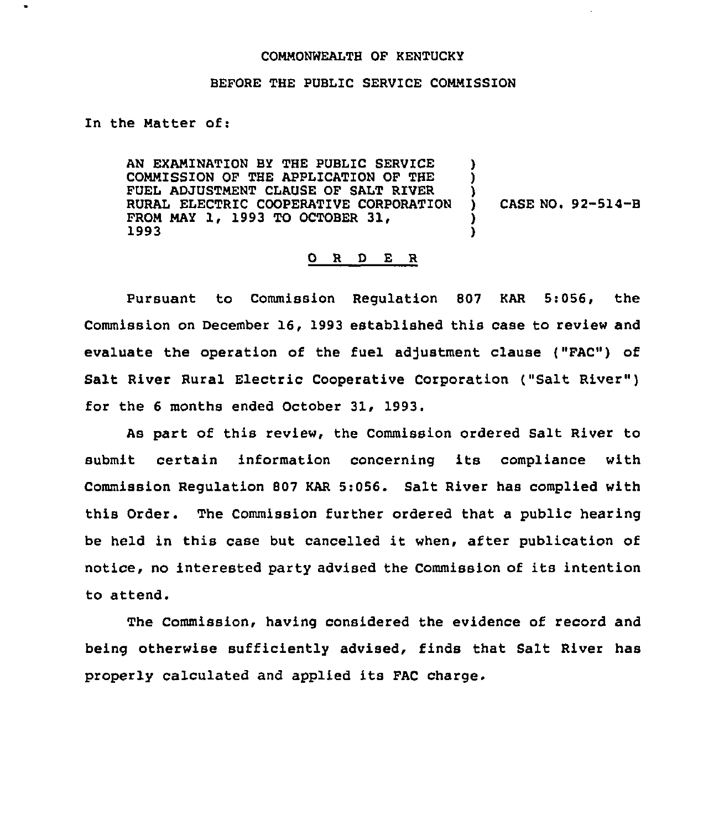## COMMONWEALTH OF KENTUCKY

## BEFORE THE PUBLIC SERVICE COMMISSION

In the Matter of:

AN EXAMINATION BY THE PUBLIC SERVICE COMMISSION OF THE APPLICATION OF THE FUEL ADJUSTMENT CLAUSE OF SALT RIVER RURAL ELECTRIC COOPERATIVE CORPORATION FROM MAY 1, 1993 TO OCTOBER 31, 1993 ) ) ) ) )

) CASE NO. 92-514-B

## 0 R <sup>D</sup> E R

Pursuant to Commission Regulation 807 KAR 5:056, the Commission on December 16, 1993 established this case to review and evaluate the operation of the fuel adjustment clause ("FAC") of Salt River Rural Electric Cooperative Corporation ("Salt River" ) for the 6 months ended October 31, 1993.

As part of this review, the Commission ordered Salt River to submit certain information concerning its compliance with Commission Regulation 807 KAR 5:056. Salt River has complied with this Order. The Commission further ordered that a public hearing be held in this case but cancelled it when, after publication of notice, no interested party advised the Commission of its intention to attend.

The Commission, having considered the evidence of record and being otherwise sufficiently advised, finds that Salt River has properly calculated and applied its FAC charge.